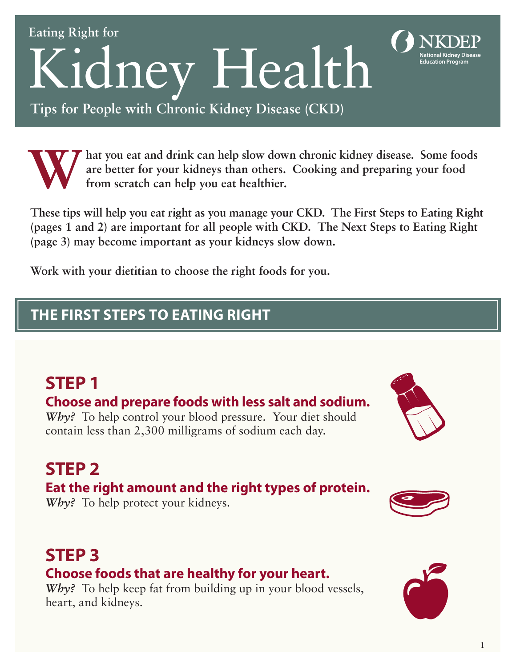Kidney Health

**Tips for People with Chronic Kidney Disease (CKD)**

**hat you eat and drink can help slow down chronic kidney disease. Some foods are better for your kidneys than others. Cooking and preparing your food from scratch can help you eat healthier.** 

**These tips will help you eat right as you manage your CKD. The First Steps to Eating Right (pages 1 and 2) are important for all people with CKD. The Next Steps to Eating Right (page 3) may become important as your kidneys slow down.** 

**Work with your dietitian to choose the right foods for you.**

### **THE FIRST STEPS TO EATING RIGHT**

# **STEP 1**

**Eating Right for**

### **Choose and prepare foods with less salt and sodium.**

*Why?* To help control your blood pressure. Your diet should contain less than 2,300 milligrams of sodium each day.

# **STEP 2**

### **Eat the right amount and the right types of protein.**

*Why?* To help protect your kidneys.

# **STEP 3**

### **Choose foods that are healthy for your heart.**

*Why*? To help keep fat from building up in your blood vessels, heart, and kidneys.









**National Kidney Disease**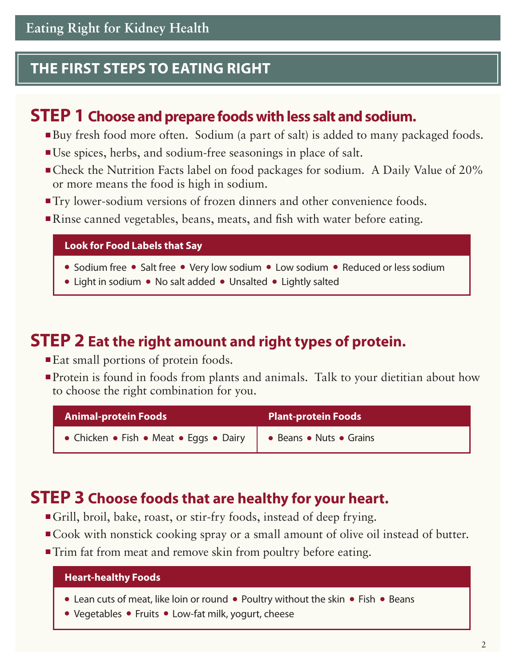#### **THE FIRST STEPS TO EATING RIGHT**

### **STEP 1 Choose and prepare foods with less salt and sodium.**

- Buy fresh food more often. Sodium (a part of salt) is added to many packaged foods.
- Use spices, herbs, and sodium-free seasonings in place of salt.
- Check the Nutrition Facts label on food packages for sodium. A Daily Value of 20% or more means the food is high in sodium.
- Try lower-sodium versions of frozen dinners and other convenience foods.
- Rinse canned vegetables, beans, meats, and fish with water before eating.

**Look for Food Labels that Say**

- Sodium free Salt free Very low sodium Low sodium Reduced or less sodium
- Light in sodium No salt added Unsalted Lightly salted

#### **STEP 2 Eat the right amount and right types of protein.**

- Eat small portions of protein foods.
- Protein is found in foods from plants and animals. Talk to your dietitian about how to choose the right combination for you.

| <b>Animal-protein Foods</b>                                      | <b>Plant-protein Foods</b> |
|------------------------------------------------------------------|----------------------------|
| • Chicken • Fish • Meat • Eggs • Dairy   • Beans • Nuts • Grains |                            |

### **STEP 3 Choose foods that are healthy for your heart.**

- Grill, broil, bake, roast, or stir-fry foods, instead of deep frying.
- Cook with nonstick cooking spray or a small amount of olive oil instead of butter.
- Trim fat from meat and remove skin from poultry before eating.

#### **Heart-healthy Foods**

- Lean cuts of meat, like loin or round Poultry without the skin Fish Beans
- Vegetables Fruits Low-fat milk, yogurt, cheese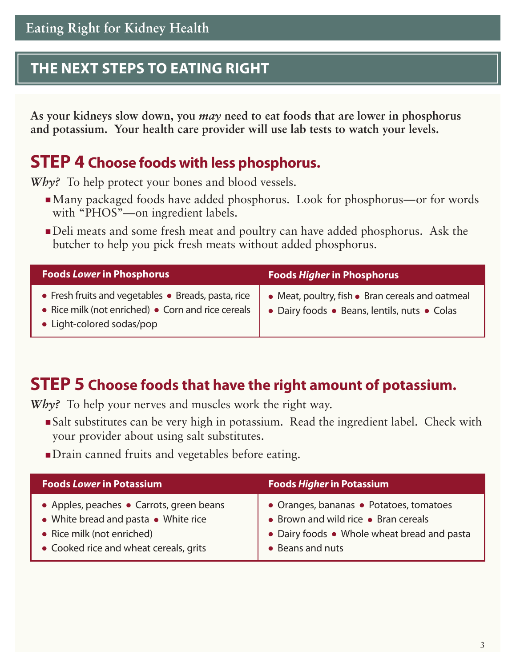#### **THE NEXT STEPS TO EATING RIGHT**

**As your kidneys slow down, you** *may* **need to eat foods that are lower in phosphorus and potassium. Your health care provider will use lab tests to watch your levels.** 

### **STEP 4 Choose foods with less phosphorus.**

*Why*? To help protect your bones and blood vessels.

- ■Many packaged foods have added phosphorus. Look for phosphorus—or for words with "PHOS"—on ingredient labels.
- Deli meats and some fresh meat and poultry can have added phosphorus. Ask the butcher to help you pick fresh meats without added phosphorus.

| <b>Foods Lower in Phosphorus</b>                                                                                                       | <b>Foods Higher in Phosphorus</b>                                                                |
|----------------------------------------------------------------------------------------------------------------------------------------|--------------------------------------------------------------------------------------------------|
| • Fresh fruits and vegetables • Breads, pasta, rice<br>• Rice milk (not enriched) • Corn and rice cereals<br>• Light-colored sodas/pop | • Meat, poultry, fish • Bran cereals and oatmeal<br>• Dairy foods • Beans, lentils, nuts • Colas |

### **STEP 5 Choose foods that have the right amount of potassium.**

*Why?* To help your nerves and muscles work the right way.

- Salt substitutes can be very high in potassium. Read the ingredient label. Check with your provider about using salt substitutes.
- ■Drain canned fruits and vegetables before eating.

| <b>Foods Lower in Potassium</b>          | <b>Foods Higher in Potassium</b>            |
|------------------------------------------|---------------------------------------------|
| • Apples, peaches • Carrots, green beans | • Oranges, bananas • Potatoes, tomatoes     |
| • White bread and pasta • White rice     | • Brown and wild rice • Bran cereals        |
| • Rice milk (not enriched)               | • Dairy foods • Whole wheat bread and pasta |
| • Cooked rice and wheat cereals, grits   | • Beans and nuts                            |